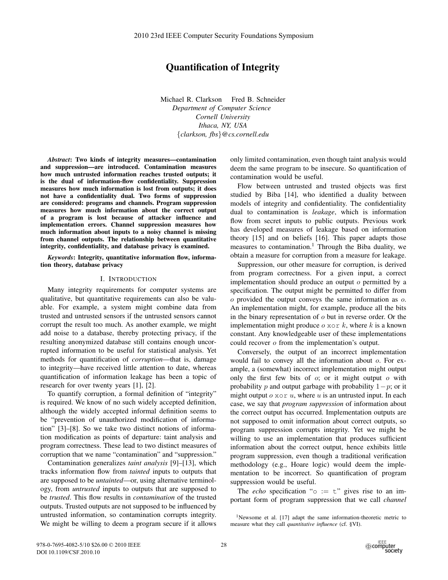# Quantification of Integrity

Michael R. Clarkson Fred B. Schneider *Department of Computer Science Cornell University Ithaca, NY, USA* {*clarkson, fbs*}*@cs.cornell.edu*

*Abstract*: Two kinds of integrity measures—contamination and suppression—are introduced. Contamination measures how much untrusted information reaches trusted outputs; it is the dual of information-flow confidentiality. Suppression measures how much information is lost from outputs; it does not have a confidentiality dual. Two forms of suppression are considered: programs and channels. Program suppression measures how much information about the correct output of a program is lost because of attacker influence and implementation errors. Channel suppression measures how much information about inputs to a noisy channel is missing from channel outputs. The relationship between quantitative integrity, confidentiality, and database privacy is examined.

*Keywords*: Integrity, quantitative information flow, information theory, database privacy

#### I. INTRODUCTION

Many integrity requirements for computer systems are qualitative, but quantitative requirements can also be valuable. For example, a system might combine data from trusted and untrusted sensors if the untrusted sensors cannot corrupt the result too much. As another example, we might add noise to a database, thereby protecting privacy, if the resulting anonymized database still contains enough uncorrupted information to be useful for statistical analysis. Yet methods for quantification of *corruption*—that is, damage to integrity—have received little attention to date, whereas quantification of information leakage has been a topic of research for over twenty years [1], [2].

To quantify corruption, a formal definition of "integrity" is required. We know of no such widely accepted definition, although the widely accepted informal definition seems to be "prevention of unauthorized modification of information" [3]–[8]. So we take two distinct notions of information modification as points of departure: taint analysis and program correctness. These lead to two distinct measures of corruption that we name "contamination" and "suppression."

Contamination generalizes *taint analysis* [9]–[13], which tracks information flow from *tainted* inputs to outputs that are supposed to be *untainted*—or, using alternative terminology, from *untrusted* inputs to outputs that are supposed to be *trusted*. This flow results in *contamination* of the trusted outputs. Trusted outputs are not supposed to be influenced by untrusted information, so contamination corrupts integrity. We might be willing to deem a program secure if it allows

only limited contamination, even though taint analysis would deem the same program to be insecure. So quantification of contamination would be useful.

Flow between untrusted and trusted objects was first studied by Biba [14], who identified a duality between models of integrity and confidentiality. The confidentiality dual to contamination is *leakage*, which is information flow from secret inputs to public outputs. Previous work has developed measures of leakage based on information theory [15] and on beliefs [16]. This paper adapts those measures to contamination.<sup>1</sup> Through the Biba duality, we obtain a measure for corruption from a measure for leakage.

Suppression, our other measure for corruption, is derived from program correctness. For a given input, a correct implementation should produce an output  $o$  permitted by a specification. The output might be permitted to differ from o provided the output conveys the same information as o. An implementation might, for example, produce all the bits in the binary representation of  $\sigma$  but in reverse order. Or the implementation might produce  $o \times \text{sn } k$ , where k is a known constant. Any knowledgeable user of these implementations could recover o from the implementation's output.

Conversely, the output of an incorrect implementation would fail to convey all the information about o. For example, a (somewhat) incorrect implementation might output only the first few bits of  $o$ ; or it might output  $o$  with probability p and output garbage with probability  $1-p$ ; or it might output  $o \times \neg r u$ , where u is an untrusted input. In each case, we say that *program suppression* of information about the correct output has occurred. Implementation outputs are not supposed to omit information about correct outputs, so program suppression corrupts integrity. Yet we might be willing to use an implementation that produces sufficient information about the correct output, hence exhibits little program suppression, even though a traditional verification methodology (e.g., Hoare logic) would deem the implementation to be incorrect. So quantification of program suppression would be useful.

The *echo* specification " $\circ$  := t" gives rise to an important form of program suppression that we call *channel*

<sup>&</sup>lt;sup>1</sup>Newsome et al. [17] adapt the same information-theoretic metric to measure what they call *quantitative influence* (cf. §VI).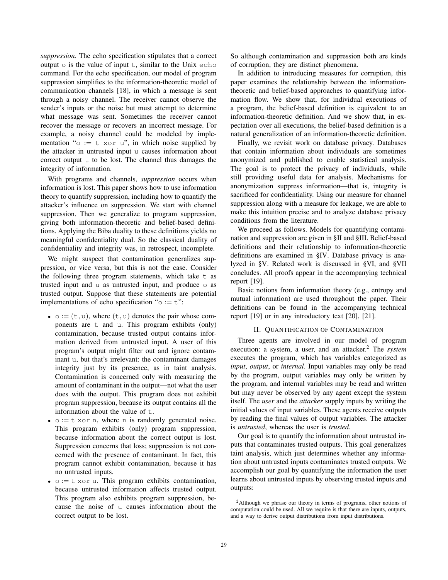*suppression*. The echo specification stipulates that a correct output  $\circ$  is the value of input  $t$ , similar to the Unix echo command. For the echo specification, our model of program suppression simplifies to the information-theoretic model of communication channels [18], in which a message is sent through a noisy channel. The receiver cannot observe the sender's inputs or the noise but must attempt to determine what message was sent. Sometimes the receiver cannot recover the message or recovers an incorrect message. For example, a noisy channel could be modeled by implementation " $o := t$  xor u", in which noise supplied by the attacker in untrusted input u causes information about correct output  $t$  to be lost. The channel thus damages the integrity of information.

With programs and channels, *suppression* occurs when information is lost. This paper shows how to use information theory to quantify suppression, including how to quantify the attacker's influence on suppression. We start with channel suppression. Then we generalize to program suppression, giving both information-theoretic and belief-based definitions. Applying the Biba duality to these definitions yields no meaningful confidentiality dual. So the classical duality of confidentiality and integrity was, in retrospect, incomplete.

We might suspect that contamination generalizes suppression, or vice versa, but this is not the case. Consider the following three program statements, which take  $t$  as trusted input and u as untrusted input, and produce o as trusted output. Suppose that these statements are potential implementations of echo specification " $\circ$  :=  $t$ ":

- $o := (t, u)$ , where  $(t, u)$  denotes the pair whose components are t and u. This program exhibits (only) contamination, because trusted output contains information derived from untrusted input. A user of this program's output might filter out and ignore contaminant u, but that's irrelevant: the contaminant damages integrity just by its presence, as in taint analysis. Contamination is concerned only with measuring the amount of contaminant in the output—not what the user does with the output. This program does not exhibit program suppression, because its output contains all the information about the value of t.
- $o := t$  xor n, where n is randomly generated noise. This program exhibits (only) program suppression, because information about the correct output is lost. Suppression concerns that loss; suppression is not concerned with the presence of contaminant. In fact, this program cannot exhibit contamination, because it has no untrusted inputs.
- $\bullet$  o := t xor u. This program exhibits contamination, because untrusted information affects trusted output. This program also exhibits program suppression, because the noise of u causes information about the correct output to be lost.

So although contamination and suppression both are kinds of corruption, they are distinct phenomena.

In addition to introducing measures for corruption, this paper examines the relationship between the informationtheoretic and belief-based approaches to quantifying information flow. We show that, for individual executions of a program, the belief-based definition is equivalent to an information-theoretic definition. And we show that, in expectation over all executions, the belief-based definition is a natural generalization of an information-theoretic definition.

Finally, we revisit work on database privacy. Databases that contain information about individuals are sometimes anonymized and published to enable statistical analysis. The goal is to protect the privacy of individuals, while still providing useful data for analysis. Mechanisms for anonymization suppress information—that is, integrity is sacrificed for confidentiality. Using our measure for channel suppression along with a measure for leakage, we are able to make this intuition precise and to analyze database privacy conditions from the literature.

We proceed as follows. Models for quantifying contamination and suppression are given in §II and §III. Belief-based definitions and their relationship to information-theoretic definitions are examined in §IV. Database privacy is analyzed in §V. Related work is discussed in §VI, and §VII concludes. All proofs appear in the accompanying technical report [19].

Basic notions from information theory (e.g., entropy and mutual information) are used throughout the paper. Their definitions can be found in the accompanying technical report [19] or in any introductory text [20], [21].

## II. QUANTIFICATION OF CONTAMINATION

Three agents are involved in our model of program execution: a system, a user, and an attacker.<sup>2</sup> The *system* executes the program, which has variables categorized as *input*, *output*, or *internal*. Input variables may only be read by the program, output variables may only be written by the program, and internal variables may be read and written but may never be observed by any agent except the system itself. The *user* and the *attacker* supply inputs by writing the initial values of input variables. These agents receive outputs by reading the final values of output variables. The attacker is *untrusted*, whereas the user is *trusted*.

Our goal is to quantify the information about untrusted inputs that contaminates trusted outputs. This goal generalizes taint analysis, which just determines whether any information about untrusted inputs contaminates trusted outputs. We accomplish our goal by quantifying the information the user learns about untrusted inputs by observing trusted inputs and outputs:

<sup>2</sup>Although we phrase our theory in terms of programs, other notions of computation could be used. All we require is that there are inputs, outputs, and a way to derive output distributions from input distributions.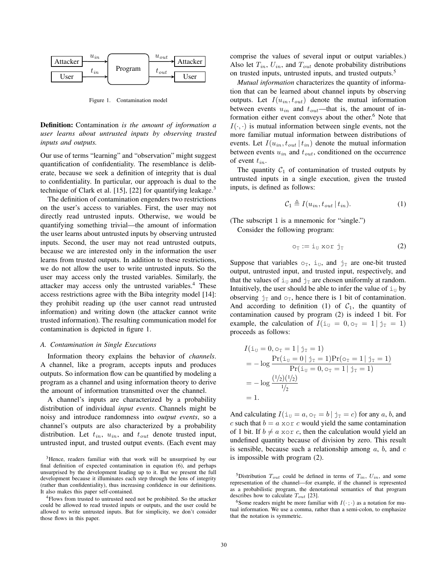

Figure 1. Contamination model

Definition: Contamination *is the amount of information a user learns about untrusted inputs by observing trusted inputs and outputs.*

Our use of terms "learning" and "observation" might suggest quantification of confidentiality. The resemblance is deliberate, because we seek a definition of integrity that is dual to confidentiality. In particular, our approach is dual to the technique of Clark et al. [15], [22] for quantifying leakage.<sup>3</sup>

The definition of contamination engenders two restrictions on the user's access to variables. First, the user may not directly read untrusted inputs. Otherwise, we would be quantifying something trivial—the amount of information the user learns about untrusted inputs by observing untrusted inputs. Second, the user may not read untrusted outputs, because we are interested only in the information the user learns from trusted outputs. In addition to these restrictions, we do not allow the user to write untrusted inputs. So the user may access only the trusted variables. Similarly, the attacker may access only the untrusted variables.<sup>4</sup> These access restrictions agree with the Biba integrity model [14]: they prohibit reading up (the user cannot read untrusted information) and writing down (the attacker cannot write trusted information). The resulting communication model for contamination is depicted in figure 1.

#### *A. Contamination in Single Executions*

Information theory explains the behavior of *channels*. A channel, like a program, accepts inputs and produces outputs. So information flow can be quantified by modeling a program as a channel and using information theory to derive the amount of information transmitted over the channel.

A channel's inputs are characterized by a probability distribution of individual *input events*. Channels might be noisy and introduce randomness into *output events*, so a channel's outputs are also characterized by a probability distribution. Let  $t_{in}$ ,  $u_{in}$ , and  $t_{out}$  denote trusted input, untrusted input, and trusted output events. (Each event may comprise the values of several input or output variables.) Also let  $T_{in}$ ,  $U_{in}$ , and  $T_{out}$  denote probability distributions on trusted inputs, untrusted inputs, and trusted outputs.<sup>5</sup>

*Mutual information* characterizes the quantity of information that can be learned about channel inputs by observing outputs. Let  $I(u_{in}, t_{out})$  denote the mutual information between events  $u_{in}$  and  $t_{out}$ —that is, the amount of information either event conveys about the other.<sup>6</sup> Note that  $I(\cdot, \cdot)$  is mutual information between single events, not the more familiar mutual information between distributions of events. Let  $I(u_{in}, t_{out} | t_{in})$  denote the mutual information between events  $u_{in}$  and  $t_{out}$ , conditioned on the occurrence of event  $t_{in}$ .

The quantity  $C_1$  of contamination of trusted outputs by untrusted inputs in a single execution, given the trusted inputs, is defined as follows:

$$
\mathcal{C}_1 \triangleq I(u_{in}, t_{out} \,|\, t_{in}).\tag{1}
$$

(The subscript 1 is a mnemonic for "single.")

Consider the following program:

$$
o_T := i_U \text{ xor } j_T \tag{2}
$$

Suppose that variables  $o_T$ ,  $i_U$ , and  $j_T$  are one-bit trusted output, untrusted input, and trusted input, respectively, and that the values of  $i_U$  and  $j_T$  are chosen uniformly at random. Intuitively, the user should be able to infer the value of  $i_U$  by observing  $j_T$  and  $o_T$ , hence there is 1 bit of contamination. And according to definition (1) of  $C_1$ , the quantity of contamination caused by program (2) is indeed 1 bit. For example, the calculation of  $I(i_{\text{U}} = 0, o_{\text{T}} = 1 | j_{\text{T}} = 1)$ proceeds as follows:

$$
I(i_U = 0, o_T = 1 | j_T = 1)
$$
  
=  $-log \frac{Pr(i_U = 0 | j_T = 1)Pr(o_T = 1 | j_T = 1)}{Pr(i_U = 0, o_T = 1 | j_T = 1)}$   
=  $-log \frac{(1/2)(1/2)}{1/2}$   
= 1.

And calculating  $I(i_{\text{U}} = a, \circ_{\text{T}} = b \mid j_{\text{T}} = c)$  for any a, b, and c such that  $b = a \times \text{or} c$  would yield the same contamination of 1 bit. If  $b \neq a$  xor c, then the calculation would yield an undefined quantity because of division by zero. This result undefined quantity because of division by zero. This result is sensible, because such a relationship among  $a, b$ , and  $c$ is impossible with program (2).

<sup>5</sup>Distribution  $T_{out}$  could be defined in terms of  $T_{in}$ ,  $U_{in}$ , and some representation of the channel—for example, if the channel is represented as a probabilistic program, the denotational semantics of that program describes how to calculate  $T_{out}$  [23].

<sup>6</sup>Some readers might be more familiar with  $I(\cdot; \cdot)$  as a notation for mutual information. We use a comma, rather than a semi-colon, to emphasize that the notation is symmetric.

<sup>3</sup>Hence, readers familiar with that work will be unsurprised by our final definition of expected contamination in equation (6), and perhaps unsurprised by the development leading up to it. But we present the full development because it illuminates each step through the lens of integrity (rather than confidentiality), thus increasing confidence in our definitions. It also makes this paper self-contained.

<sup>&</sup>lt;sup>4</sup>Flows from trusted to untrusted need not be prohibited. So the attacker could be allowed to read trusted inputs or outputs, and the user could be allowed to write untrusted inputs. But for simplicity, we don't consider those flows in this paper.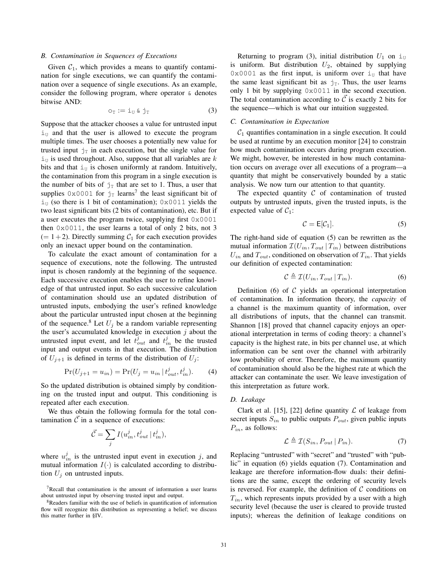## *B. Contamination in Sequences of Executions*

Given  $C_1$ , which provides a means to quantify contamination for single executions, we can quantify the contamination over a sequence of single executions. As an example, consider the following program, where operator  $\&$  denotes bitwise AND:

$$
o_T := i_U \& j_T \tag{3}
$$

Suppose that the attacker chooses a value for untrusted input  $i_U$  and that the user is allowed to execute the program multiple times. The user chooses a potentially new value for trusted input  $j_T$  in each execution, but the single value for  $i_U$  is used throughout. Also, suppose that all variables are  $k$ bits and that  $i_U$  is chosen uniformly at random. Intuitively, the contamination from this program in a single execution is the number of bits of  $j_T$  that are set to 1. Thus, a user that supplies  $0 \times 0001$  for  $j_T$  learns<sup>7</sup> the least significant bit of  $i_U$  (so there is 1 bit of contamination); 0x0011 yields the two least significant bits (2 bits of contamination), etc. But if a user executes the program twice, supplying first 0x0001 then 0x0011, the user learns a total of only 2 bits, not 3  $(= 1+2)$ . Directly summing  $C_1$  for each execution provides only an inexact upper bound on the contamination.

To calculate the exact amount of contamination for a sequence of executions, note the following. The untrusted input is chosen randomly at the beginning of the sequence. Each successive execution enables the user to refine knowledge of that untrusted input. So each successive calculation of contamination should use an updated distribution of untrusted inputs, embodying the user's refined knowledge about the particular untrusted input chosen at the beginning of the sequence.<sup>8</sup> Let  $U_j$  be a random variable representing the user's accumulated knowledge in execution  $j$  about the untrusted input event, and let  $\vec{t}_{out}$  and  $t_{in}^j$  be the trusted input and output events in that execution. The distribution of  $U_{j+1}$  is defined in terms of the distribution of  $U_j$ :

$$
\Pr(U_{j+1} = u_{in}) = \Pr(U_j = u_{in} | t_{out}^j, t_{in}^j). \tag{4}
$$

So the updated distribution is obtained simply by conditioning on the trusted input and output. This conditioning is repeated after each execution.

We thus obtain the following formula for the total contamination  $\vec{C}$  in a sequence of executions:

$$
\vec{\mathcal{C}} = \sum_j I(u_{in}^j, t_{out}^j \mid t_{in}^j),
$$

where  $u_{in}^j$  is the untrusted input event in execution j, and mutual information  $I(\cdot)$  is calculated according to distribution  $U_j$  on untrusted inputs.

7Recall that contamination is the amount of information a user learns about untrusted input by observing trusted input and output.

Returning to program (3), initial distribution  $U_1$  on  $i_U$ is uniform. But distribution  $U_2$ , obtained by supplying  $0 \times 0001$  as the first input, is uniform over  $i_U$  that have the same least significant bit as  $j_T$ . Thus, the user learns only 1 bit by supplying 0x0011 in the second execution. The total contamination according to  $\vec{C}$  is exactly 2 bits for the sequence—which is what our intuition suggested.

#### *C. Contamination in Expectation*

 $C_1$  quantifies contamination in a single execution. It could be used at runtime by an execution monitor [24] to constrain how much contamination occurs during program execution. We might, however, be interested in how much contamination occurs on average over all executions of a program—a quantity that might be conservatively bounded by a static analysis. We now turn our attention to that quantity.

The expected quantity  $C$  of contamination of trusted outputs by untrusted inputs, given the trusted inputs, is the expected value of  $C_1$ :

$$
\mathcal{C} = \mathsf{E}[\mathcal{C}_1]. \tag{5}
$$

The right-hand side of equation (5) can be rewritten as the mutual information  $\mathcal{I}(U_{in}, T_{out} | T_{in})$  between distributions  $U_{in}$  and  $T_{out}$ , conditioned on observation of  $T_{in}$ . That yields our definition of expected contamination:

$$
\mathcal{C} \triangleq \mathcal{I}(U_{in}, T_{out} | T_{in}). \tag{6}
$$

Definition (6) of  $C$  yields an operational interpretation of contamination. In information theory, the *capacity* of a channel is the maximum quantity of information, over all distributions of inputs, that the channel can transmit. Shannon [18] proved that channel capacity enjoys an operational interpretation in terms of coding theory: a channel's capacity is the highest rate, in bits per channel use, at which information can be sent over the channel with arbitrarily low probability of error. Therefore, the maximum quantity of contamination should also be the highest rate at which the attacker can contaminate the user. We leave investigation of this interpretation as future work.

### *D. Leakage*

Clark et al. [15], [22] define quantity  $\mathcal L$  of leakage from secret inputs  $S_{in}$  to public outputs  $P_{out}$ , given public inputs  $P_{in}$ , as follows:

$$
\mathcal{L} \triangleq \mathcal{I}(S_{in}, P_{out} | P_{in}). \tag{7}
$$

Replacing "untrusted" with "secret" and "trusted" with "public" in equation (6) yields equation (7). Contamination and leakage are therefore information-flow duals: their definitions are the same, except the ordering of security levels is reversed. For example, the definition of  $C$  conditions on  $T_{in}$ , which represents inputs provided by a user with a high security level (because the user is cleared to provide trusted inputs); whereas the definition of leakage conditions on

<sup>8</sup>Readers familiar with the use of beliefs in quantification of information flow will recognize this distribution as representing a belief; we discuss this matter further in §IV.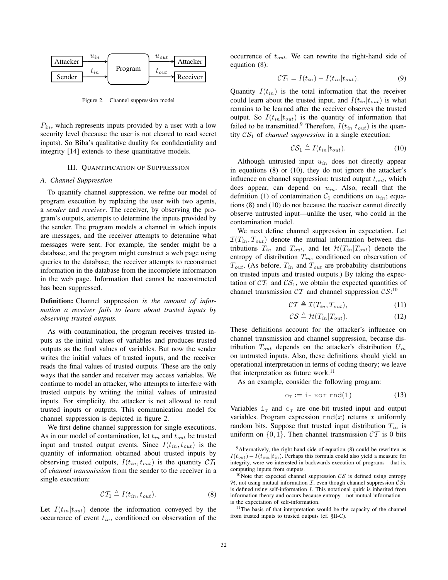

Figure 2. Channel suppression model

 $P_{in}$ , which represents inputs provided by a user with a low security level (because the user is not cleared to read secret inputs). So Biba's qualitative duality for confidentiality and integrity [14] extends to these quantitative models.

#### III. QUANTIFICATION OF SUPPRESSION

## *A. Channel Suppression*

To quantify channel suppression, we refine our model of program execution by replacing the user with two agents, a *sender* and *receiver*. The receiver, by observing the program's outputs, attempts to determine the inputs provided by the sender. The program models a channel in which inputs are messages, and the receiver attempts to determine what messages were sent. For example, the sender might be a database, and the program might construct a web page using queries to the database; the receiver attempts to reconstruct information in the database from the incomplete information in the web page. Information that cannot be reconstructed has been suppressed.

Definition: Channel suppression *is the amount of information a receiver fails to learn about trusted inputs by observing trusted outputs.*

As with contamination, the program receives trusted inputs as the initial values of variables and produces trusted outputs as the final values of variables. But now the sender writes the initial values of trusted inputs, and the receiver reads the final values of trusted outputs. These are the only ways that the sender and receiver may access variables. We continue to model an attacker, who attempts to interfere with trusted outputs by writing the initial values of untrusted inputs. For simplicity, the attacker is not allowed to read trusted inputs or outputs. This communication model for channel suppression is depicted in figure 2.

We first define channel suppression for single executions. As in our model of contamination, let  $t_{in}$  and  $t_{out}$  be trusted input and trusted output events. Since  $I(t_{in}, t_{out})$  is the quantity of information obtained about trusted inputs by observing trusted outputs,  $I(t_{in}, t_{out})$  is the quantity  $CT_1$ of *channel transmission* from the sender to the receiver in a single execution:

$$
CT_1 \triangleq I(t_{in}, t_{out}). \tag{8}
$$

Let  $I(t_{in}|t_{out})$  denote the information conveyed by the occurrence of event  $t_{in}$ , conditioned on observation of the occurrence of  $t_{out}$ . We can rewrite the right-hand side of equation (8):

$$
\mathcal{CT}_1 = I(t_{in}) - I(t_{in}|t_{out}).\tag{9}
$$

Quantity  $I(t_{in})$  is the total information that the receiver could learn about the trusted input, and  $I(t_{in}|t_{out})$  is what remains to be learned after the receiver observes the trusted output. So  $I(t_{in}|t_{out})$  is the quantity of information that failed to be transmitted.<sup>9</sup> Therefore,  $I(t_{in}|t_{out})$  is the quantity  $CS_1$  of *channel suppression* in a single execution:

$$
C\mathcal{S}_1 \triangleq I(t_{in}|t_{out}). \tag{10}
$$

Although untrusted input  $u_{in}$  does not directly appear in equations (8) or (10), they do not ignore the attacker's influence on channel suppression: trusted output  $t_{out}$ , which does appear, can depend on  $u_{in}$ . Also, recall that the definition (1) of contamination  $C_1$  conditions on  $u_{in}$ ; equations (8) and (10) do not because the receiver cannot directly observe untrusted input—unlike the user, who could in the contamination model.

We next define channel suppression in expectation. Let  $\mathcal{I}(T_{in}, T_{out})$  denote the mutual information between distributions  $T_{in}$  and  $T_{out}$ , and let  $\mathcal{H}(T_{in}|T_{out})$  denote the entropy of distribution  $T_{in}$ , conditioned on observation of  $T_{out}$ . (As before,  $T_{in}$  and  $T_{out}$  are probability distributions on trusted inputs and trusted outputs.) By taking the expectation of  $CT_1$  and  $CS_1$ , we obtain the expected quantities of channel transmission  $CT$  and channel suppression  $CS$ :<sup>10</sup>

$$
\mathcal{CT} \triangleq \mathcal{I}(T_{in}, T_{out}),\tag{11}
$$

$$
CS \triangleq \mathcal{H}(T_{in}|T_{out}). \tag{12}
$$

These definitions account for the attacker's influence on channel transmission and channel suppression, because distribution  $T_{out}$  depends on the attacker's distribution  $U_{in}$ on untrusted inputs. Also, these definitions should yield an operational interpretation in terms of coding theory; we leave that interpretation as future work.<sup>11</sup>

As an example, consider the following program:

$$
o_T := i_T \text{ xor } \text{rnd}(1) \tag{13}
$$

Variables  $i_T$  and  $o_T$  are one-bit trusted input and output variables. Program expression  $\text{rnd}(x)$  returns x uniformly random bits. Suppose that trusted input distribution  $T_{in}$  is uniform on  $\{0, 1\}$ . Then channel transmission  $\mathcal{CT}$  is 0 bits

<sup>11</sup>The basis of that interpretation would be the capacity of the channel from trusted inputs to trusted outputs (cf. §II-C).

<sup>9</sup>Alternatively, the right-hand side of equation (8) could be rewritten as  $I(t_{out}) - I(t_{out}|t_{in})$ . Perhaps this formula could also yield a measure for integrity, were we interested in backwards execution of programs—that is, computing inputs from outputs.

<sup>&</sup>lt;sup>10</sup>Note that expected channel suppression  $\mathcal{CS}$  is defined using entropy  $H$ , not using mutual information  $I$ , even though channel suppression  $CS<sub>1</sub>$ is defined using self-information I. This notational quirk is inherited from information theory and occurs because entropy—not mutual information is the expectation of self-information.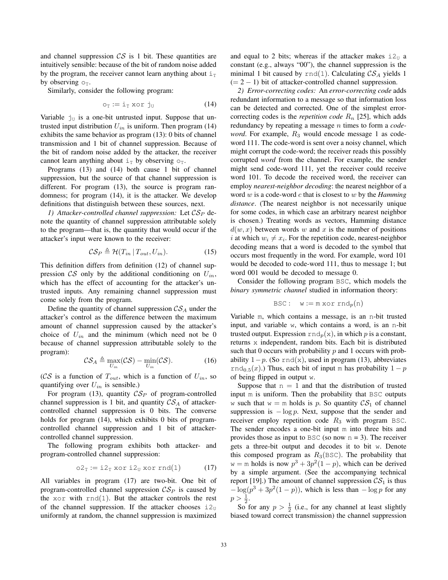and channel suppression  $\mathcal{CS}$  is 1 bit. These quantities are intuitively sensible: because of the bit of random noise added by the program, the receiver cannot learn anything about  $i<sub>T</sub>$ by observing  $\circ_{\tau}$ .

Similarly, consider the following program:

$$
o_T := i_T \text{ xor } j_U \tag{14}
$$

Variable  $j_{U}$  is a one-bit untrusted input. Suppose that untrusted input distribution  $U_{in}$  is uniform. Then program (14) exhibits the same behavior as program (13): 0 bits of channel transmission and 1 bit of channel suppression. Because of the bit of random noise added by the attacker, the receiver cannot learn anything about  $i_T$  by observing  $o_T$ .

Programs (13) and (14) both cause 1 bit of channel suppression, but the source of that channel suppression is different. For program  $(13)$ , the source is program randomness; for program (14), it is the attacker. We develop definitions that distinguish between these sources, next.

1) Attacker-controlled channel suppression: Let  $\mathcal{CS}_P$  denote the quantity of channel suppression attributable solely to the program—that is, the quantity that would occur if the attacker's input were known to the receiver:

$$
CS_P \triangleq \mathcal{H}(T_{in} \,|\, T_{out}, U_{in}). \tag{15}
$$

This definition differs from definition (12) of channel suppression  $\mathcal{CS}$  only by the additional conditioning on  $U_{in}$ , which has the effect of accounting for the attacker's untrusted inputs. Any remaining channel suppression must come solely from the program.

Define the quantity of channel suppression  $\mathcal{CS}_A$  under the attacker's control as the difference between the maximum amount of channel suppression caused by the attacker's choice of  $U_{in}$  and the minimum (which need not be 0 because of channel suppression attributable solely to the program):

$$
CS_A \triangleq \max_{U_{in}}(CS) - \min_{U_{in}}(CS). \tag{16}
$$

(CS is a function of  $T_{out}$ , which is a function of  $U_{in}$ , so quantifying over  $U_{in}$  is sensible.)

For program (13), quantity  $\mathcal{CS}_P$  of program-controlled channel suppression is 1 bit, and quantity  $CS_A$  of attackercontrolled channel suppression is 0 bits. The converse holds for program (14), which exhibits 0 bits of programcontrolled channel suppression and 1 bit of attackercontrolled channel suppression.

The following program exhibits both attacker- and program-controlled channel suppression:

$$
\text{O2}_T := \text{i2}_T \text{ xor } \text{i2}_U \text{ xor } \text{rnd}(1) \tag{17}
$$

All variables in program (17) are two-bit. One bit of program-controlled channel suppression  $\mathcal{CS}_P$  is caused by the xor with  $rnd(1)$ . But the attacker controls the rest of the channel suppression. If the attacker chooses  $i2_U$ uniformly at random, the channel suppression is maximized and equal to 2 bits; whereas if the attacker makes  $i2_U$  a constant (e.g., always "00"), the channel suppression is the minimal 1 bit caused by  $\text{rnd}(1)$ . Calculating  $CS_A$  yields 1  $(= 2 - 1)$  bit of attacker-controlled channel suppression.

*2) Error-correcting codes:* An *error-correcting code* adds redundant information to a message so that information loss can be detected and corrected. One of the simplest errorcorrecting codes is the *repetition code* R<sup>n</sup> [25], which adds redundancy by repeating a message n times to form a *codeword*. For example,  $R_3$  would encode message 1 as codeword 111. The code-word is sent over a noisy channel, which might corrupt the code-word; the receiver reads this possibly corrupted *word* from the channel. For example, the sender might send code-word 111, yet the receiver could receive word 101. To decode the received word, the receiver can employ *nearest-neighbor decoding*: the nearest neighbor of a word w is a code-word c that is closest to w by the *Hamming distance*. (The nearest neighbor is not necessarily unique for some codes, in which case an arbitrary nearest neighbor is chosen.) Treating words as vectors, Hamming distance  $d(w, x)$  between words w and x is the number of positions i at which  $w_i \neq x_i$ . For the repetition code, nearest-neighbor<br>decoding means that a word is decoded to the symbol that decoding means that a word is decoded to the symbol that occurs most frequently in the word. For example, word 101 would be decoded to code-word 111, thus to message 1; but word 001 would be decoded to message 0.

Consider the following program BSC, which models the *binary symmetric channel* studied in information theory:

BSC: 
$$
w := m \times \text{or } \text{rnd}_p(n)
$$

Variable m, which contains a message, is an n-bit trusted input, and variable w, which contains a word, is an n-bit trusted output. Expression  $\text{rnd}_p(x)$ , in which p is a constant, returns x independent, random bits. Each bit is distributed such that  $\theta$  occurs with probability  $p$  and  $1$  occurs with probability  $1-p$ . (So rnd(x), used in program (13), abbreviates rnd<sub>0.5</sub>(x).) Thus, each bit of input m has probability  $1 - p$ of being flipped in output w.

Suppose that  $n = 1$  and that the distribution of trusted input m is uniform. Then the probability that BSC outputs w such that  $w = m$  holds is p. So quantity  $CS_1$  of channel suppression is  $-\log p$ . Next, suppose that the sender and receiver employ repetition code  $R_3$  with program BSC. The sender encodes a one-bit input m into three bits and provides those as input to BSC (so now  $n = 3$ ). The receiver gets a three-bit output and decodes it to bit w. Denote this composed program as  $R_3({\text{BSC}})$ . The probability that w = m holds is now  $p^3 + 3p^2(1 - p)$ , which can be derived by a simple argument. (See the accompanying technical report [19].) The amount of channel suppression  $CS_1$  is thus  $-\log(p^3 + 3p^2(1-p))$ , which is less than  $-\log p$  for any  $p > \frac{1}{2}$ .

So for any  $p > \frac{1}{2}$  (i.e., for any channel at least slightly biased toward correct transmission) the channel suppression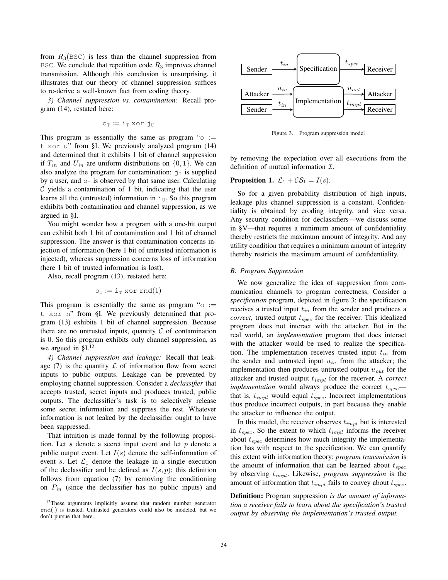from  $R_3($ BSC) is less than the channel suppression from BSC. We conclude that repetition code  $R_3$  improves channel transmission. Although this conclusion is unsurprising, it illustrates that our theory of channel suppression suffices to re-derive a well-known fact from coding theory.

*3) Channel suppression vs. contamination:* Recall program (14), restated here:

$$
\circ_{T} := i_{T} \text{ xor } j_{U}
$$

This program is essentially the same as program " $\circ$  := t xor u" from §I. We previously analyzed program (14) and determined that it exhibits 1 bit of channel suppression if  $T_{in}$  and  $U_{in}$  are uniform distributions on  $\{0, 1\}$ . We can also analyze the program for contamination:  $j_T$  is supplied by a user, and  $o<sub>T</sub>$  is observed by that same user. Calculating  $C$  yields a contamination of 1 bit, indicating that the user learns all the (untrusted) information in  $i_{\text{U}}$ . So this program exhibits both contamination and channel suppression, as we argued in §I.

You might wonder how a program with a one-bit output can exhibit both 1 bit of contamination and 1 bit of channel suppression. The answer is that contamination concerns injection of information (here 1 bit of untrusted information is injected), whereas suppression concerns loss of information (here 1 bit of trusted information is lost).

Also, recall program (13), restated here:

$$
\circ_{\texttt{T}} := \texttt{i}_{\texttt{T}} \text{ xor }\texttt{rnd}(1)
$$

This program is essentially the same as program " $\circ$  := t xor n" from §I. We previously determined that program (13) exhibits 1 bit of channel suppression. Because there are no untrusted inputs, quantity  $\mathcal C$  of contamination is 0. So this program exhibits only channel suppression, as we argued in  $\S I^{12}$ 

*4) Channel suppression and leakage:* Recall that leakage (7) is the quantity  $\mathcal L$  of information flow from secret inputs to public outputs. Leakage can be prevented by employing channel suppression. Consider a *declassifier* that accepts trusted, secret inputs and produces trusted, public outputs. The declassifier's task is to selectively release some secret information and suppress the rest. Whatever information is not leaked by the declassifier ought to have been suppressed.

That intuition is made formal by the following proposition. Let s denote a secret input event and let p denote a public output event. Let  $I(s)$  denote the self-information of event s. Let  $\mathcal{L}_1$  denote the leakage in a single execution of the declassifier and be defined as  $I(s, p)$ ; this definition follows from equation (7) by removing the conditioning on  $P_{in}$  (since the declassifier has no public inputs) and



Figure 3. Program suppression model

by removing the expectation over all executions from the definition of mutual information  $\mathcal{I}$ .

## **Proposition 1.**  $\mathcal{L}_1 + \mathcal{C}\mathcal{S}_1 = I(s)$ .

So for a given probability distribution of high inputs, leakage plus channel suppression is a constant. Confidentiality is obtained by eroding integrity, and vice versa. Any security condition for declassifiers—we discuss some in §V—that requires a minimum amount of confidentiality thereby restricts the maximum amount of integrity. And any utility condition that requires a minimum amount of integrity thereby restricts the maximum amount of confidentiality.

## *B. Program Suppression*

We now generalize the idea of suppression from communication channels to program correctness. Consider a *specification* program, depicted in figure 3: the specification receives a trusted input  $t_{in}$  from the sender and produces a *correct*, trusted output  $t_{spec}$  for the receiver. This idealized program does not interact with the attacker. But in the real world, an *implementation* program that does interact with the attacker would be used to realize the specification. The implementation receives trusted input  $t_{in}$  from the sender and untrusted input  $u_{in}$  from the attacker; the implementation then produces untrusted output  $u_{out}$  for the attacker and trusted output timpl for the receiver. A *correct implementation* would always produce the correct  $t_{spec}$  that is,  $t_{impl}$  would equal  $t_{spec}$ . Incorrect implementations thus produce incorrect outputs, in part because they enable the attacker to influence the output.

In this model, the receiver observes  $t_{impl}$  but is interested in  $t_{spec}$ . So the extent to which  $t_{impl}$  informs the receiver about  $t_{spec}$  determines how much integrity the implementation has with respect to the specification. We can quantify this extent with information theory: *program transmission* is the amount of information that can be learned about  $t_{spec}$ by observing  $t_{impl}$ . Likewise, *program suppression* is the amount of information that  $t_{impl}$  fails to convey about  $t_{spec}$ .

Definition: Program suppression *is the amount of information a receiver fails to learn about the specification's trusted output by observing the implementation's trusted output.*

<sup>&</sup>lt;sup>12</sup>These arguments implicitly assume that random number generator  $\text{rnd}(\cdot)$  is trusted. Untrusted generators could also be modeled, but we don't pursue that here.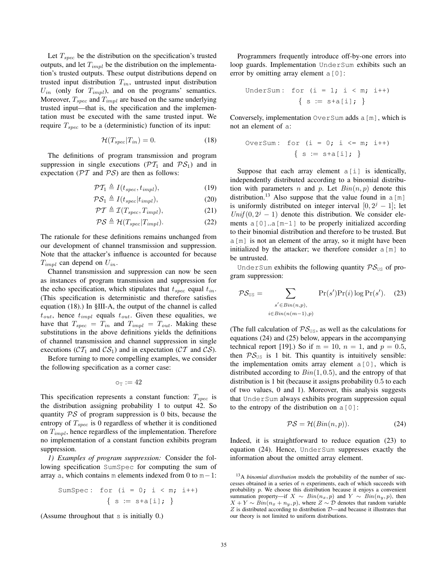Let  $T_{spec}$  be the distribution on the specification's trusted outputs, and let  $T_{impl}$  be the distribution on the implementation's trusted outputs. These output distributions depend on trusted input distribution  $T_{in}$ , untrusted input distribution  $U_{in}$  (only for  $T_{impl}$ ), and on the programs' semantics. Moreover,  $T_{spec}$  and  $T_{impl}$  are based on the same underlying trusted input—that is, the specification and the implementation must be executed with the same trusted input. We require  $T_{spec}$  to be a (deterministic) function of its input:

$$
\mathcal{H}(T_{spec}|T_{in}) = 0.
$$
 (18)

The definitions of program transmission and program suppression in single executions ( $\mathcal{PT}_1$  and  $\mathcal{PS}_1$ ) and in expectation ( $\mathcal{PT}$  and  $\mathcal{PS}$ ) are then as follows:

$$
\mathcal{PT}_1 \triangleq I(t_{spec}, t_{impl}), \tag{19}
$$

$$
\mathcal{PS}_1 \triangleq I(t_{spec}|t_{impl}),\tag{20}
$$

$$
\mathcal{PT} \triangleq \mathcal{I}(T_{spec}, T_{impl}),\tag{21}
$$

$$
\mathcal{PS} \triangleq \mathcal{H}(T_{spec}|T_{impl}). \tag{22}
$$

The rationale for these definitions remains unchanged from our development of channel transmission and suppression. Note that the attacker's influence is accounted for because  $T_{impl}$  can depend on  $U_{in}$ .

Channel transmission and suppression can now be seen as instances of program transmission and suppression for the echo specification, which stipulates that  $t_{spec}$  equal  $t_{in}$ . (This specification is deterministic and therefore satisfies equation (18).) In §III-A, the output of the channel is called  $t_{out}$ , hence  $t_{impl}$  equals  $t_{out}$ . Given these equalities, we have that  $T_{spec} = T_{in}$  and  $T_{impl} = T_{out}$ . Making these substitutions in the above definitions yields the definitions of channel transmission and channel suppression in single executions ( $\mathcal{CT}_1$  and  $\mathcal{CS}_1$ ) and in expectation ( $\mathcal{CT}$  and  $\mathcal{CS}$ ).

Before turning to more compelling examples, we consider the following specification as a corner case:

 $o_T := 42$ 

This specification represents a constant function:  $T_{spec}$  is the distribution assigning probability 1 to output 42. So quantity  $PS$  of program suppression is 0 bits, because the entropy of  $T_{spec}$  is 0 regardless of whether it is conditioned on  $T_{impl}$ , hence regardless of the implementation. Therefore no implementation of a constant function exhibits program suppression.

*1) Examples of program suppression:* Consider the following specification SumSpec for computing the sum of array a, which contains m elements indexed from 0 to  $m-1$ :

SumSpec : for (i = 0; i < m; i++) { <sup>s</sup> := s+a[i]; }

(Assume throughout that s is initially 0.)

Programmers frequently introduce off-by-one errors into loop guards. Implementation UnderSum exhibits such an error by omitting array element  $a[0]$ :

UnderSum: for 
$$
(i = 1; i < m; i++)
$$

\n
$$
\{ s := s + a[i]; \}
$$

Conversely, implementation  $\circ$ verSum adds a[m], which is not an element of a:

OverSum : for (i = 0; i <= m; i++) { <sup>s</sup> := s+a[i]; }

Suppose that each array element  $a[i]$  is identically, independently distributed according to a binomial distribution with parameters n and p. Let  $Bin(n, p)$  denote this distribution.<sup>13</sup> Also suppose that the value found in  $a[m]$ is uniformly distributed on integer interval  $[0, 2<sup>j</sup> - 1]$ ; let  $Unif(0, 2<sup>j</sup> - 1)$  denote this distribution. We consider elements  $a[0]$ ..a[m-1] to be properly initialized according to their binomial distribution and therefore to be trusted. But  $a[m]$  is not an element of the array, so it might have been initialized by the attacker; we therefore consider  $a[m]$  to be untrusted.

UnderSum exhibits the following quantity  $PS_{US}$  of program suppression:

$$
\mathcal{PS}_{\text{US}} = \sum_{\substack{s' \in Bin(n, p), \\ i \in Bin(n(m-1), p)}} \Pr(s') \Pr(i) \log \Pr(s'). \quad (23)
$$

(The full calculation of  $PS_{US}$ , as well as the calculations for equations (24) and (25) below, appears in the accompanying technical report [19].) So if  $m = 10$ ,  $n = 1$ , and  $p = 0.5$ , then  $PS_{US}$  is 1 bit. This quantity is intuitively sensible: the implementation omits array element  $a[0]$ , which is distributed according to  $Bin(1, 0.5)$ , and the entropy of that distribution is 1 bit (because it assigns probability 0.5 to each of two values, 0 and 1). Moreover, this analysis suggests that UnderSum always exhibits program suppression equal to the entropy of the distribution on  $a[0]$ :

$$
\mathcal{PS} = \mathcal{H}(Bin(n, p)). \tag{24}
$$

Indeed, it is straightforward to reduce equation (23) to equation (24). Hence, UnderSum suppresses exactly the information about the omitted array element.

<sup>13</sup>A *binomial distribution* models the probability of the number of successes obtained in a series of  $n$  experiments, each of which succeeds with probability  $p$ . We choose this distribution because it enjoys a convenient summation property—if  $X \sim Bin(n_x, p)$  and  $Y \sim Bin(n_y, p)$ , then  $X + Y \sim Bin(n_x + n_y, p)$ , where  $Z \sim D$  denotes that random variable  $Z$  is distributed according to distribution  $D$ —and because it illustrates that our theory is not limited to uniform distributions.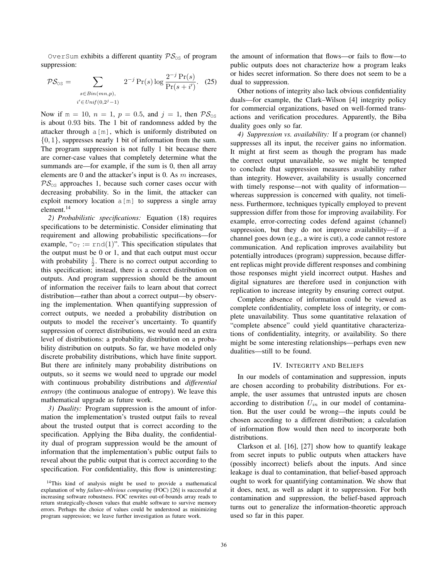OverSum exhibits a different quantity  $PS_{OS}$  of program suppression:

$$
\mathcal{PS}_{\text{OS}} = \sum_{\substack{s \in Bin(mn,p), \\ i' \in Unif(0,2^{j}-1)}} 2^{-j} \Pr(s) \log \frac{2^{-j} \Pr(s)}{\Pr(s+i')}.
$$
 (25)

Now if  $m = 10$ ,  $n = 1$ ,  $p = 0.5$ , and  $j = 1$ , then  $PS_{OS}$ is about 0.93 bits. The 1 bit of randomness added by the attacker through  $a[m]$ , which is uniformly distributed on  $\{0, 1\}$ , suppresses nearly 1 bit of information from the sum. The program suppression is not fully 1 bit because there are corner-case values that completely determine what the summands are—for example, if the sum is 0, then all array elements are 0 and the attacker's input is 0. As  $m$  increases,  $PS_{OS}$  approaches 1, because such corner cases occur with decreasing probability. So in the limit, the attacker can exploit memory location  $a[m]$  to suppress a single array element.14

*2) Probabilistic specifications:* Equation (18) requires specifications to be deterministic. Consider eliminating that requirement and allowing probabilistic specifications—for example, " $o_T := \text{rnd}(1)$ ". This specification stipulates that the output must be 0 or 1, and that each output must occur with probability  $\frac{1}{2}$ . There is no correct output according to this specification; instead, there is a correct distribution on outputs. And program suppression should be the amount of information the receiver fails to learn about that correct distribution—rather than about a correct output—by observing the implementation. When quantifying suppression of correct outputs, we needed a probability distribution on outputs to model the receiver's uncertainty. To quantify suppression of correct distributions, we would need an extra level of distributions: a probability distribution on a probability distribution on outputs. So far, we have modeled only discrete probability distributions, which have finite support. But there are infinitely many probability distributions on outputs, so it seems we would need to upgrade our model with continuous probability distributions and *differential entropy* (the continuous analogue of entropy). We leave this mathematical upgrade as future work.

*3) Duality:* Program suppression is the amount of information the implementation's trusted output fails to reveal about the trusted output that is correct according to the specification. Applying the Biba duality, the confidentiality dual of program suppression would be the amount of information that the implementation's public output fails to reveal about the public output that is correct according to the specification. For confidentiality, this flow is uninteresting: the amount of information that flows—or fails to flow—to public outputs does not characterize how a program leaks or hides secret information. So there does not seem to be a dual to suppression.

Other notions of integrity also lack obvious confidentiality duals—for example, the Clark–Wilson [4] integrity policy for commercial organizations, based on well-formed transactions and verification procedures. Apparently, the Biba duality goes only so far.

*4) Suppression vs. availability:* If a program (or channel) suppresses all its input, the receiver gains no information. It might at first seem as though the program has made the correct output unavailable, so we might be tempted to conclude that suppression measures availability rather than integrity. However, availability is usually concerned with timely response—not with quality of information whereas suppression is concerned with quality, not timeliness. Furthermore, techniques typically employed to prevent suppression differ from those for improving availability. For example, error-correcting codes defend against (channel) suppression, but they do not improve availability—if a channel goes down (e.g., a wire is cut), a code cannot restore communication. And replication improves availability but potentially introduces (program) suppression, because different replicas might provide different responses and combining those responses might yield incorrect output. Hashes and digital signatures are therefore used in conjunction with replication to increase integrity by ensuring correct output.

Complete absence of information could be viewed as complete confidentiality, complete loss of integrity, or complete unavailability. Thus some quantitative relaxation of "complete absence" could yield quantitative characterizations of confidentiality, integrity, or availability. So there might be some interesting relationships—perhaps even new dualities—still to be found.

#### IV. INTEGRITY AND BELIEFS

In our models of contamination and suppression, inputs are chosen according to probability distributions. For example, the user assumes that untrusted inputs are chosen according to distribution  $U_{in}$  in our model of contamination. But the user could be wrong—the inputs could be chosen according to a different distribution; a calculation of information flow would then need to incorporate both distributions.

Clarkson et al. [16], [27] show how to quantify leakage from secret inputs to public outputs when attackers have (possibly incorrect) beliefs about the inputs. And since leakage is dual to contamination, that belief-based approach ought to work for quantifying contamination. We show that it does, next, as well as adapt it to suppression. For both contamination and suppression, the belief-based approach turns out to generalize the information-theoretic approach used so far in this paper.

<sup>&</sup>lt;sup>14</sup>This kind of analysis might be used to provide a mathematical explanation of why *failure-oblivious computing* (FOC) [26] is successful at increasing software robustness. FOC rewrites out-of-bounds array reads to return strategically-chosen values that enable software to survive memory errors. Perhaps the choice of values could be understood as minimizing program suppression; we leave further investigation as future work.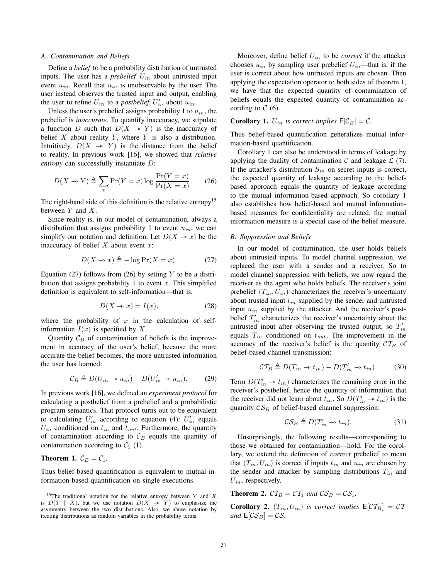## *A. Contamination and Beliefs*

Define a *belief* to be a probability distribution of untrusted inputs. The user has a *prebelief*  $U_{in}$  about untrusted input event  $u_{in}$ . Recall that  $u_{in}$  is unobservable by the user. The user instead observes the trusted input and output, enabling the user to refine  $U_{in}$  to a *postbelief*  $U'_{in}$  about  $u_{in}$ .

Unless the user's prebelief assigns probability 1 to  $u_{in}$ , the prebelief is *inaccurate*. To quantify inaccuracy, we stipulate a function D such that  $D(X \to Y)$  is the inaccuracy of<br>helief X about reality Y where Y is also a distribution belief  $X$  about reality  $Y$ , where  $Y$  is also a distribution. Intuitively,  $D(X \rightarrow Y)$  is the distance from the belief<br>to reality. In previous work [16], we showed that relative to reality. In previous work [16], we showed that *relative entropy* can successfully instantiate D:

$$
D(X \to Y) \triangleq \sum_{x} \Pr(Y = x) \log \frac{\Pr(Y = x)}{\Pr(X = x)}.
$$
 (26)

The right-hand side of this definition is the relative entropy<sup>15</sup> between  $Y$  and  $X$ .

Since reality is, in our model of contamination, always a distribution that assigns probability 1 to event  $u_{in}$ , we can simplify our notation and definition. Let  $D(X \rightarrow x)$  be the inaccuracy of belief X about event x. inaccuracy of belief  $X$  about event  $x$ :

$$
D(X \to x) \triangleq -\log \Pr(X = x). \tag{27}
$$

Equation (27) follows from (26) by setting Y to be a distribution that assigns probability 1 to event  $x$ . This simplified definition is equivalent to self-information—that is,

$$
D(X \to x) = I(x),\tag{28}
$$

where the probability of  $x$  in the calculation of selfinformation  $I(x)$  is specified by X.

Quantity  $\mathcal{C}_B$  of contamination of beliefs is the improvement in accuracy of the user's belief, because the more accurate the belief becomes, the more untrusted information the user has learned:

$$
\mathcal{C}_B \triangleq D(U_{in} \to u_{in}) - D(U'_{in} \to u_{in}). \tag{29}
$$

In previous work [16], we defined an *experiment protocol* for calculating a postbelief from a prebelief and a probabilistic program semantics. That protocol turns out to be equivalent to calculating  $U'_{in}$  according to equation (4):  $U'_{in}$  equals  $U_{in}$  conditioned on  $t_{in}$  and  $t_{out}$ . Furthermore, the quantity of contamination according to  $C_B$  equals the quantity of contamination according to  $C_1$  (1).

## **Theorem 1.**  $C_B = C_1$ .

Thus belief-based quantification is equivalent to mutual information-based quantification on single executions.

Moreover, define belief  $U_{in}$  to be *correct* if the attacker chooses  $u_{in}$  by sampling user prebelief  $U_{in}$ —that is, if the user is correct about how untrusted inputs are chosen. Then applying the expectation operator to both sides of theorem 1, we have that the expected quantity of contamination of beliefs equals the expected quantity of contamination according to  $C(6)$ .

## **Corollary 1.**  $U_{in}$  is correct implies  $E[\mathcal{C}_B] = \mathcal{C}$ .

Thus belief-based quantification generalizes mutual information-based quantification.

Corollary 1 can also be understood in terms of leakage by applying the duality of contamination  $\mathcal C$  and leakage  $\mathcal L$  (7). If the attacker's distribution  $S_{in}$  on secret inputs is correct, the expected quantity of leakage according to the beliefbased approach equals the quantity of leakage according to the mutual information-based approach. So corollary 1 also establishes how belief-based and mutual informationbased measures for confidentiality are related: the mutual information measure is a special case of the belief measure.

## *B. Suppression and Beliefs*

In our model of contamination, the user holds beliefs about untrusted inputs. To model channel suppression, we replaced the user with a sender and a receiver. So to model channel suppression with beliefs, we now regard the receiver as the agent who holds beliefs. The receiver's joint prebelief  $(T_{in}, U_{in})$  characterizes the receiver's uncertainty about trusted input  $t_{in}$  supplied by the sender and untrusted input  $u_{in}$  supplied by the attacker. And the receiver's postbelief  $T'_{in}$  characterizes the receiver's uncertainty about the untrusted input after observing the trusted output, so  $T'_{in}$ equals  $T_{in}$  conditioned on  $t_{out}$ . The improvement in the accuracy of the receiver's belief is the quantity  $CT_B$  of belief-based channel transmission:

$$
\mathcal{CT}_B \triangleq D(T_{in} \to t_{in}) - D(T'_{in} \to t_{in}). \tag{30}
$$

Term  $D(T'_{in} \rightarrow t_{in})$  characterizes the remaining error in the receiver's postbolief, bence the quantity of information that receiver's postbelief, hence the quantity of information that the receiver did not learn about  $t_{in}$ . So  $D(T'_{in} \rightarrow t_{in})$  is the quantity  $CS_{\rm D}$  of belief-based channel suppression: quantity  $\mathcal{CS}_B$  of belief-based channel suppression:

$$
\mathcal{CS}_B \triangleq D(T'_{in} \to t_{in}).\tag{31}
$$

Unsurprisingly, the following results—corresponding to those we obtained for contamination—hold. For the corollary, we extend the definition of *correct* prebelief to mean that  $(T_{in}, U_{in})$  is correct if inputs  $t_{in}$  and  $u_{in}$  are chosen by the sender and attacker by sampling distributions  $T_{in}$  and  $U_{in}$ , respectively.

**Theorem 2.**  $CT_B = CT_1$  and  $CS_B = CS_1$ .

**Corollary 2.**  $(T_{in}, U_{in})$  *is correct implies*  $E[\mathcal{CT}_B] = \mathcal{CT}$ *and*  $E[\mathcal{CS}_B] = \mathcal{CS}$ .

<sup>&</sup>lt;sup>15</sup>The traditional notation for the relative entropy between  $Y$  and  $X$ is  $D(Y \parallel X)$ , but we use notation  $D(X \rightarrow Y)$  to emphasize the asymmetry between the two distributions. Also, we abuse notation by treating distributions as random variables in the probability terms.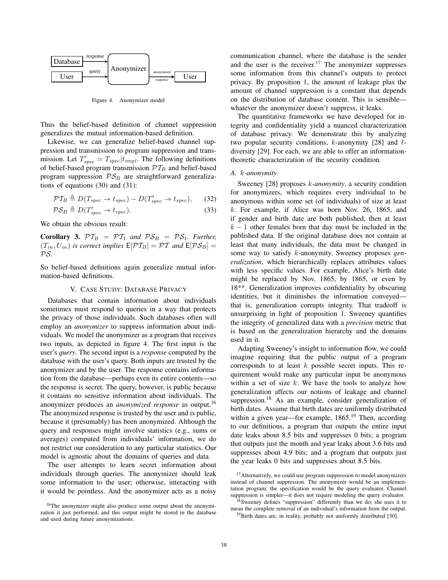

Figure 4. Anonymizer model

Thus the belief-based definition of channel suppression generalizes the mutual information-based definition.

Likewise, we can generalize belief-based channel suppression and transmission to program suppression and transmission. Let  $T'_{spec} = T_{spec} | t_{impl}$ . The following definitions<br>of belief-based program transmission  $\mathcal{PT}_{\mathcal{D}}$  and belief-based of belief-based program transmission  $\mathcal{PT}_B$  and belief-based program suppression  $PS_B$  are straightforward generalizations of equations (30) and (31):

$$
\mathcal{PT}_B \triangleq D(T_{spec} \to t_{spec}) - D(T'_{spec} \to t_{spec}), \qquad (32)
$$

$$
\mathcal{PS}_B \triangleq D(T'_{spec} \to t_{spec}). \tag{33}
$$

We obtain the obvious result:

**Corollary 3.**  $\mathcal{PT}_B = \mathcal{PT}_1$  and  $\mathcal{PS}_B = \mathcal{PS}_1$ . Further,  $(T - H)$  is correct implies  $F[\mathcal{PT}_D] - \mathcal{PT}$  and  $F[\mathcal{PS}_D] (T_{in}, U_{in})$  *is correct implies*  $E[\mathcal{PT}_B] = \mathcal{PT}$  *and*  $E[\mathcal{PS}_B] = \mathcal{DS}$  $PS$ .

So belief-based definitions again generalize mutual information-based definitions.

#### V. CASE STUDY: DATABASE PRIVACY

Databases that contain information about individuals sometimes must respond to queries in a way that protects the privacy of those individuals. Such databases often will employ an *anonymizer* to suppress information about individuals. We model the anonymizer as a program that receives two inputs, as depicted in figure 4. The first input is the user's *query*. The second input is a *response* computed by the database with the user's query. Both inputs are trusted by the anonymizer and by the user. The response contains information from the database—perhaps even its entire contents—so the response is secret. The query, however, is public because it contains no sensitive information about individuals. The anonymizer produces an *anonymized response* as output.16 The anonymized response is trusted by the user and is public, because it (presumably) has been anonymized. Although the query and responses might involve statistics (e.g., sums or averages) computed from individuals' information, we do not restrict our consideration to any particular statistics. Our model is agnostic about the domains of queries and data.

The user attempts to learn secret information about individuals through queries. The anonymizer should leak some information to the user; otherwise, interacting with it would be pointless. And the anonymizer acts as a noisy communication channel, where the database is the sender and the user is the receiver.<sup>17</sup> The anonymizer suppresses some information from this channel's outputs to protect privacy. By proposition 1, the amount of leakage plus the amount of channel suppression is a constant that depends on the distribution of database content. This is sensible whatever the anonymizer doesn't suppress, it leaks.

The quantitative frameworks we have developed for integrity and confidentiality yield a nuanced characterization of database privacy. We demonstrate this by analyzing two popular security conditions, k-anonymity [28] and  $\ell$ diversity [29]. For each, we are able to offer an informationtheoretic characterization of the security condition.

#### *A.* k*-anonymity*

Sweeney [28] proposes k*-anonymity*, a security condition for anonymizers, which requires every individual to be anonymous within some set (of individuals) of size at least k. For example, if Alice was born Nov. 26, 1865, and if gender and birth date are both published, then at least  $k - 1$  other females born that day must be included in the published data. If the original database does not contain at least that many individuals, the data must be changed in some way to satisfy k-anonymity. Sweeney proposes *generalization*, which hierarchically replaces attributes values with less specific values. For example, Alice's birth date might be replaced by Nov. 1865, by 1865, or even by 18\*\*. Generalization improves confidentiality by obscuring identities, but it diminishes the information conveyed that is, generalization corrupts integrity. That tradeoff is unsurprising in light of proposition 1. Sweeney quantifies the integrity of generalized data with a *precision* metric that is based on the generalization hierarchy and the domains used in it.

Adapting Sweeney's insight to information flow, we could imagine requiring that the public output of a program corresponds to at least  $k$  possible secret inputs. This requirement would make any particular input be anonymous within a set of size  $k$ . We have the tools to analyze how generalization affects our notions of leakage and channel suppression.<sup>18</sup> As an example, consider generalization of birth dates. Assume that birth dates are uniformly distributed within a given year—for example,  $1865.^{19}$  Then, according to our definitions, a program that outputs the entire input date leaks about 8.5 bits and suppresses 0 bits; a program that outputs just the month and year leaks about 3.6 bits and suppresses about 4.9 bits; and a program that outputs just the year leaks 0 bits and suppresses about 8.5 bits.

<sup>16</sup>The anonymizer might also produce some output about the anonymization it just performed, and this output might be stored in the database and used during future anonymizations.

 $17$ Alternatively, we could use program suppression to model anonymizers instead of channel suppression. The anonymizer would be an implementation program; the specification would be the query evaluator. Channel suppression is simpler—it does not require modeling the query evaluator.

<sup>&</sup>lt;sup>18</sup>Sweeney defines "suppression" differently than we do; she uses it to mean the complete removal of an individual's information from the output.

<sup>&</sup>lt;sup>19</sup>Birth dates are, in reality, probably not uniformly distributed [30].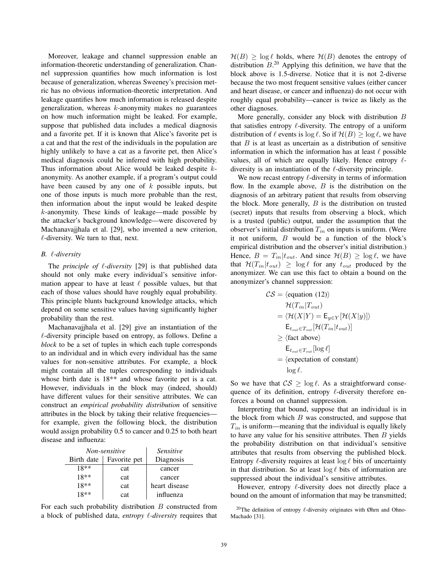Moreover, leakage and channel suppression enable an information-theoretic understanding of generalization. Channel suppression quantifies how much information is lost because of generalization, whereas Sweeney's precision metric has no obvious information-theoretic interpretation. And leakage quantifies how much information is released despite generalization, whereas  $k$ -anonymity makes no guarantees on how much information might be leaked. For example, suppose that published data includes a medical diagnosis and a favorite pet. If it is known that Alice's favorite pet is a cat and that the rest of the individuals in the population are highly unlikely to have a cat as a favorite pet, then Alice's medical diagnosis could be inferred with high probability. Thus information about Alice would be leaked despite kanonymity. As another example, if a program's output could have been caused by any one of  $k$  possible inputs, but one of those inputs is much more probable than the rest, then information about the input would be leaked despite  $k$ -anonymity. These kinds of leakage—made possible by the attacker's background knowledge—were discovered by Machanavajjhala et al. [29], who invented a new criterion,  $\ell$ -diversity. We turn to that, next.

## *B. -diversity*

The *principle of*  $\ell$ *-diversity* [29] is that published data should not only make every individual's sensitive information appear to have at least  $\ell$  possible values, but that each of those values should have roughly equal probability. This principle blunts background knowledge attacks, which depend on some sensitive values having significantly higher probability than the rest.

Machanavajjhala et al. [29] give an instantiation of the  $\ell$ -diversity principle based on entropy, as follows. Define a *block* to be a set of tuples in which each tuple corresponds to an individual and in which every individual has the same values for non-sensitive attributes. For example, a block might contain all the tuples corresponding to individuals whose birth date is 18\*\* and whose favorite pet is a cat. However, individuals in the block may (indeed, should) have different values for their sensitive attributes. We can construct an *empirical probability distribution* of sensitive attributes in the block by taking their relative frequencies for example, given the following block, the distribution would assign probability 0.5 to cancer and 0.25 to both heart disease and influenza:

| Non-sensitive |              | <i>Sensitive</i> |
|---------------|--------------|------------------|
| Birth date    | Favorite pet | Diagnosis        |
| $18**$        | cat          | cancer           |
| $18**$        | cat          | cancer           |
| $18**$        | cat          | heart disease    |
| $18**$        | cat          | influenza        |

For each such probability distribution  $B$  constructed from a block of published data, *entropy*  $\ell$ -diversity requires that  $\mathcal{H}(B) \geq \log \ell$  holds, where  $\mathcal{H}(B)$  denotes the entropy of distribution  $B^{20}$  Applying this definition, we have that the block above is 1.5-diverse. Notice that it is not 2-diverse because the two most frequent sensitive values (either cancer and heart disease, or cancer and influenza) do not occur with roughly equal probability—cancer is twice as likely as the other diagnoses.

More generally, consider any block with distribution B that satisfies entropy  $\ell$ -diversity. The entropy of a uniform distribution of  $\ell$  events is  $\log \ell$ . So if  $\mathcal{H}(B) > \log \ell$ , we have that  $B$  is at least as uncertain as a distribution of sensitive information in which the information has at least  $\ell$  possible values, all of which are equally likely. Hence entropy  $\ell$ diversity is an instantiation of the  $\ell$ -diversity principle.

We now recast entropy  $\ell$ -diversity in terms of information flow. In the example above,  $B$  is the distribution on the diagnosis of an arbitrary patient that results from observing the block. More generally,  $B$  is the distribution on trusted (secret) inputs that results from observing a block, which is a trusted (public) output, under the assumption that the observer's initial distribution  $T_{in}$  on inputs is uniform. (Were it not uniform, B would be a function of the block's empirical distribution and the observer's initial distribution.) Hence,  $B = T_{in} | t_{out}$ . And since  $\mathcal{H}(B) \geq \log \ell$ , we have that  $\mathcal{H}(T_{in}|t_{out}) \geq \log \ell$  for any  $t_{out}$  produced by the anonymizer. We can use this fact to obtain a bound on the anonymizer's channel suppression:

$$
\mathcal{CS} = \langle \text{equation (12)} \rangle
$$
  
\n
$$
\mathcal{H}(T_{in}|T_{out})
$$
  
\n
$$
= \langle \mathcal{H}(X|Y) = \mathbb{E}_{y \in Y}[\mathcal{H}(X|y)] \rangle
$$
  
\n
$$
\mathbb{E}_{t_{out} \in T_{out}}[\mathcal{H}(T_{in}|t_{out})]
$$
  
\n
$$
\geq \langle \text{fact above} \rangle
$$
  
\n
$$
\mathbb{E}_{t_{out} \in T_{out}}[\log \ell]
$$
  
\n
$$
= \langle \text{expectation of constant} \rangle
$$
  
\n
$$
\log \ell.
$$

So we have that  $CS \geq \log \ell$ . As a straightforward consequence of its definition, entropy  $\ell$ -diversity therefore enforces a bound on channel suppression.

Interpreting that bound, suppose that an individual is in the block from which  $B$  was constructed, and suppose that  $T_{in}$  is uniform—meaning that the individual is equally likely to have any value for his sensitive attributes. Then  $B$  yields the probability distribution on that individual's sensitive attributes that results from observing the published block. Entropy  $\ell$ -diversity requires at least  $\log \ell$  bits of uncertainty in that distribution. So at least  $\log \ell$  bits of information are suppressed about the individual's sensitive attributes.

However, entropy  $\ell$ -diversity does not directly place a bound on the amount of information that may be transmitted;

<sup>&</sup>lt;sup>20</sup>The definition of entropy  $\ell$ -diversity originates with Øhrn and Ohno-Machado [31].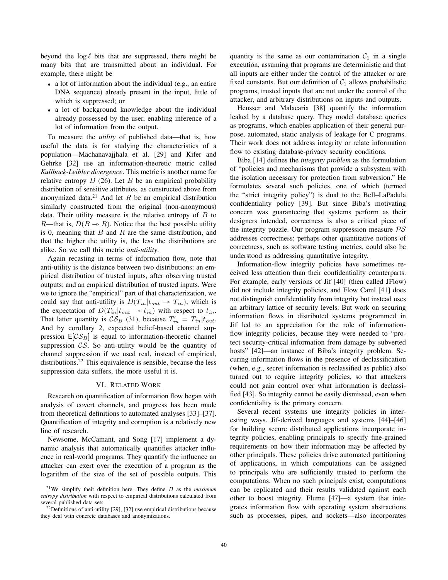beyond the  $\log \ell$  bits that are suppressed, there might be many bits that are transmitted about an individual. For example, there might be

- a lot of information about the individual (e.g., an entire DNA sequence) already present in the input, little of which is suppressed; or
- a lot of background knowledge about the individual already possessed by the user, enabling inference of a lot of information from the output.

To measure the *utility* of published data—that is, how useful the data is for studying the characteristics of a population—Machanavajjhala et al. [29] and Kifer and Gehrke [32] use an information-theoretic metric called *Kullback-Leibler divergence*. This metric is another name for relative entropy  $D(26)$ . Let  $B$  be an empirical probability distribution of sensitive attributes, as constructed above from anonymized data.<sup>21</sup> And let R be an empirical distribution similarly constructed from the original (non-anonymous) data. Their utility measure is the relative entropy of  $B$  to R—that is,  $D(B \to R)$ . Notice that the best possible utility<br>is 0. meaning that R and R are the same distribution, and is 0, meaning that  $B$  and  $R$  are the same distribution, and that the higher the utility is, the less the distributions are alike. So we call this metric *anti-utility*.

Again recasting in terms of information flow, note that anti-utility is the distance between two distributions: an empirical distribution of trusted inputs, after observing trusted outputs; and an empirical distribution of trusted inputs. Were we to ignore the "empirical" part of that characterization, we could say that anti-utility is  $D(T_{in}|t_{out} \rightarrow T_{in})$ , which is<br>the expectation of  $D(T_{in}|t_{out} \rightarrow t_{in})$  with respect to t the expectation of  $D(T_{in}|t_{out} \rightarrow t_{in})$  with respect to  $t_{in}$ .<br>That latter quantity is  $\mathcal{CS}_D$  (31) because  $T' = T_{in}|t|$ . That latter quantity is  $\mathcal{CS}_B$  (31), because  $T'_{in} = T_{in}|t_{out}$ .<br>And by corollary 2, expected belief-based channel sup-And by corollary 2, expected belief-based channel suppression  $E[\mathcal{CS}_B]$  is equal to information-theoretic channel suppression  $\mathcal{CS}$ . So anti-utility would be the quantity of channel suppression if we used real, instead of empirical, distributions.<sup>22</sup> This equivalence is sensible, because the less suppression data suffers, the more useful it is.

#### VI. RELATED WORK

Research on quantification of information flow began with analysis of covert channels, and progress has been made from theoretical definitions to automated analyses [33]–[37]. Quantification of integrity and corruption is a relatively new line of research.

Newsome, McCamant, and Song [17] implement a dynamic analysis that automatically quantifies attacker influence in real-world programs. They quantify the influence an attacker can exert over the execution of a program as the logarithm of the size of the set of possible outputs. This quantity is the same as our contamination  $C_1$  in a single execution, assuming that programs are deterministic and that all inputs are either under the control of the attacker or are fixed constants. But our definition of  $C_1$  allows probabilistic programs, trusted inputs that are not under the control of the attacker, and arbitrary distributions on inputs and outputs.

Heusser and Malacaria [38] quantify the information leaked by a database query. They model database queries as programs, which enables application of their general purpose, automated, static analysis of leakage for C programs. Their work does not address integrity or relate information flow to existing database-privacy security conditions.

Biba [14] defines the *integrity problem* as the formulation of "policies and mechanisms that provide a subsystem with the isolation necessary for protection from subversion." He formulates several such policies, one of which (termed the "strict integrity policy") is dual to the Bell–LaPadula confidentiality policy [39]. But since Biba's motivating concern was guaranteeing that systems perform as their designers intended, correctness is also a critical piece of the integrity puzzle. Our program suppression measure  $PS$ addresses correctness; perhaps other quantitative notions of correctness, such as software testing metrics, could also be understood as addressing quantitative integrity.

Information-flow integrity policies have sometimes received less attention than their confidentiality counterparts. For example, early versions of Jif [40] (then called JFlow) did not include integrity policies, and Flow Caml [41] does not distinguish confidentiality from integrity but instead uses an arbitrary lattice of security levels. But work on securing information flows in distributed systems programmed in Jif led to an appreciation for the role of informationflow integrity policies, because they were needed to "protect security-critical information from damage by subverted hosts" [42]—an instance of Biba's integrity problem. Securing information flows in the presence of declassification (when, e.g., secret information is reclassified as public) also turned out to require integrity policies, so that attackers could not gain control over what information is declassified [43]. So integrity cannot be easily dismissed, even when confidentiality is the primary concern.

Several recent systems use integrity policies in interesting ways. Jif-derived languages and systems [44]–[46] for building secure distributed applications incorporate integrity policies, enabling principals to specify fine-grained requirements on how their information may be affected by other principals. These policies drive automated partitioning of applications, in which computations can be assigned to principals who are sufficiently trusted to perform the computations. When no such principals exist, computations can be replicated and their results validated against each other to boost integrity. Flume [47]—a system that integrates information flow with operating system abstractions such as processes, pipes, and sockets—also incorporates

<sup>21</sup>We simplify their definition here. They define B as the *maximum entropy distribution* with respect to empirical distributions calculated from several published data sets.

<sup>22</sup>Definitions of anti-utility [29], [32] use empirical distributions because they deal with concrete databases and anonymizations.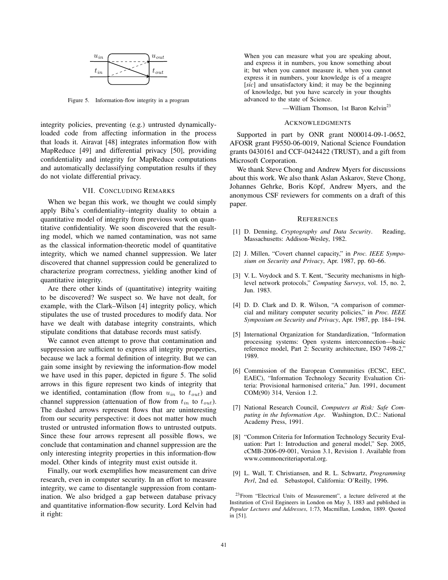

Figure 5. Information-flow integrity in a program

integrity policies, preventing (e.g.) untrusted dynamicallyloaded code from affecting information in the process that loads it. Airavat [48] integrates information flow with MapReduce [49] and differential privacy [50], providing confidentiality and integrity for MapReduce computations and automatically declassifying computation results if they do not violate differential privacy.

## VII. CONCLUDING REMARKS

When we began this work, we thought we could simply apply Biba's confidentiality–integrity duality to obtain a quantitative model of integrity from previous work on quantitative confidentiality. We soon discovered that the resulting model, which we named contamination, was not same as the classical information-theoretic model of quantitative integrity, which we named channel suppression. We later discovered that channel suppression could be generalized to characterize program correctness, yielding another kind of quantitative integrity.

Are there other kinds of (quantitative) integrity waiting to be discovered? We suspect so. We have not dealt, for example, with the Clark–Wilson [4] integrity policy, which stipulates the use of trusted procedures to modify data. Nor have we dealt with database integrity constraints, which stipulate conditions that database records must satisfy.

We cannot even attempt to prove that contamination and suppression are sufficient to express all integrity properties, because we lack a formal definition of integrity. But we can gain some insight by reviewing the information-flow model we have used in this paper, depicted in figure 5. The solid arrows in this figure represent two kinds of integrity that we identified, contamination (flow from  $u_{in}$  to  $t_{out}$ ) and channel suppression (attenuation of flow from  $t_{in}$  to  $t_{out}$ ). The dashed arrows represent flows that are uninteresting from our security perspective: it does not matter how much trusted or untrusted information flows to untrusted outputs. Since these four arrows represent all possible flows, we conclude that contamination and channel suppression are the only interesting integrity properties in this information-flow model. Other kinds of integrity must exist outside it.

Finally, our work exemplifies how measurement can drive research, even in computer security. In an effort to measure integrity, we came to disentangle suppression from contamination. We also bridged a gap between database privacy and quantitative information-flow security. Lord Kelvin had it right:

When you can measure what you are speaking about, and express it in numbers, you know something about it; but when you cannot measure it, when you cannot express it in numbers, your knowledge is of a meagre [sic] and unsatisfactory kind; it may be the beginning of knowledge, but you have scarcely in your thoughts advanced to the state of Science.

—William Thomson, 1st Baron Kelvin<sup>23</sup>

#### ACKNOWLEDGMENTS

Supported in part by ONR grant N00014-09-1-0652, AFOSR grant F9550-06-0019, National Science Foundation grants 0430161 and CCF-0424422 (TRUST), and a gift from Microsoft Corporation.

We thank Steve Chong and Andrew Myers for discussions about this work. We also thank Aslan Askarov, Steve Chong, Johannes Gehrke, Boris Köpf, Andrew Myers, and the anonymous CSF reviewers for comments on a draft of this paper.

#### **REFERENCES**

- [1] D. Denning, *Cryptography and Data Security*. Reading, Massachusetts: Addison-Wesley, 1982.
- [2] J. Millen, "Covert channel capacity," in *Proc. IEEE Symposium on Security and Privacy*, Apr. 1987, pp. 60–66.
- [3] V. L. Voydock and S. T. Kent, "Security mechanisms in highlevel network protocols," *Computing Surveys*, vol. 15, no. 2, Jun. 1983.
- [4] D. D. Clark and D. R. Wilson, "A comparison of commercial and military computer security policies," in *Proc. IEEE Symposium on Security and Privacy*, Apr. 1987, pp. 184–194.
- [5] International Organization for Standardization, "Information processing systems: Open systems interconnection—basic reference model, Part 2: Security architecture, ISO 7498-2," 1989.
- [6] Commission of the European Communities (ECSC, EEC, EAEC), "Information Technology Security Evaluation Criteria: Provisional harmonised criteria," Jun. 1991, document COM(90) 314, Version 1.2.
- [7] National Research Council, *Computers at Risk: Safe Computing in the Information Age*. Washington, D.C.: National Academy Press, 1991.
- [8] "Common Criteria for Information Technology Security Evaluation: Part 1: Introduction and general model," Sep. 2005, cCMB-2006-09-001, Version 3.1, Revision 1. Available from www.commoncriteriaportal.org.
- [9] L. Wall, T. Christiansen, and R. L. Schwartz, *Programming Perl*, 2nd ed. Sebastopol, California: O'Reilly, 1996.

23From "Electrical Units of Measurement", a lecture delivered at the Institution of Civil Engineers in London on May 3, 1883 and published in *Popular Lectures and Addresses*, 1:73, Macmillan, London, 1889. Quoted in [51].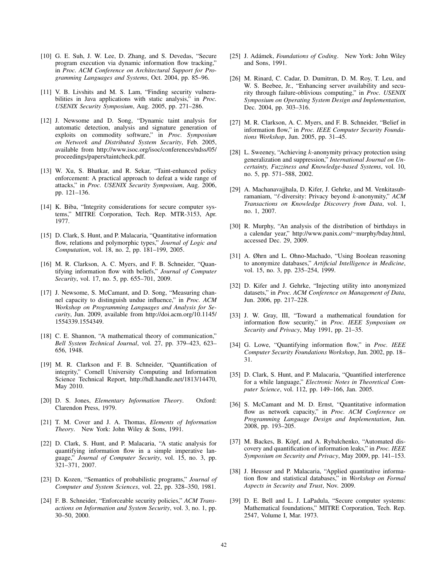- [10] G. E. Suh, J. W. Lee, D. Zhang, and S. Devedas, "Secure program execution via dynamic information flow tracking," in *Proc. ACM Conference on Architectural Support for Programming Languages and Systems*, Oct. 2004, pp. 85–96.
- [11] V. B. Livshits and M. S. Lam, "Finding security vulnerabilities in Java applications with static analysis," in *Proc. USENIX Security Symposium*, Aug. 2005, pp. 271–286.
- [12] J. Newsome and D. Song, "Dynamic taint analysis for automatic detection, analysis and signature generation of exploits on commodity software," in *Proc. Symposium on Network and Distributed System Security*, Feb. 2005, available from http://www.isoc.org/isoc/conferences/ndss/05/ proceedings/papers/taintcheck.pdf.
- [13] W. Xu, S. Bhatkar, and R. Sekar, "Taint-enhanced policy enforcement: A practical approach to defeat a wide range of attacks," in *Proc. USENIX Security Symposium*, Aug. 2006, pp. 121–136.
- [14] K. Biba, "Integrity considerations for secure computer systems," MITRE Corporation, Tech. Rep. MTR-3153, Apr. 1977.
- [15] D. Clark, S. Hunt, and P. Malacaria, "Quantitative information flow, relations and polymorphic types," *Journal of Logic and Computation*, vol. 18, no. 2, pp. 181–199, 2005.
- [16] M. R. Clarkson, A. C. Myers, and F. B. Schneider, "Quantifying information flow with beliefs," *Journal of Computer Security*, vol. 17, no. 5, pp. 655–701, 2009.
- [17] J. Newsome, S. McCamant, and D. Song, "Measuring channel capacity to distinguish undue influence," in *Proc. ACM Workshop on Programming Languages and Analysis for Security*, Jun. 2009, available from http://doi.acm.org/10.1145/ 1554339.1554349.
- [18] C. E. Shannon, "A mathematical theory of communication," *Bell System Technical Journal*, vol. 27, pp. 379–423, 623– 656, 1948.
- [19] M. R. Clarkson and F. B. Schneider, "Quantification of integrity," Cornell University Computing and Information Science Technical Report, http://hdl.handle.net/1813/14470, May 2010.
- [20] D. S. Jones, *Elementary Information Theory*. Oxford: Clarendon Press, 1979.
- [21] T. M. Cover and J. A. Thomas, *Elements of Information Theory*. New York: John Wiley & Sons, 1991.
- [22] D. Clark, S. Hunt, and P. Malacaria, "A static analysis for quantifying information flow in a simple imperative language," *Journal of Computer Security*, vol. 15, no. 3, pp. 321–371, 2007.
- [23] D. Kozen, "Semantics of probabilistic programs," *Journal of Computer and System Sciences*, vol. 22, pp. 328–350, 1981.
- [24] F. B. Schneider, "Enforceable security policies," *ACM Transactions on Information and System Security*, vol. 3, no. 1, pp. 30–50, 2000.
- [25] J. Adámek, *Foundations of Coding*. New York: John Wiley and Sons, 1991.
- [26] M. Rinard, C. Cadar, D. Dumitran, D. M. Roy, T. Leu, and W. S. Beebee, Jr., "Enhancing server availability and security through failure-oblivious computing," in *Proc. USENIX Symposium on Operating System Design and Implementation*, Dec. 2004, pp. 303–316.
- [27] M. R. Clarkson, A. C. Myers, and F. B. Schneider, "Belief in information flow," in *Proc. IEEE Computer Security Foundations Workshop*, Jun. 2005, pp. 31–45.
- [28] L. Sweeney, "Achieving  $k$ -anonymity privacy protection using generalization and suppression," *International Journal on Uncertainty, Fuzziness and Knowledge-based Systems*, vol. 10, no. 5, pp. 571–588, 2002.
- [29] A. Machanavajjhala, D. Kifer, J. Gehrke, and M. Venkitasubramaniam, "l-diversity: Privacy beyond k-anonymity," ACM *Transactions on Knowledge Discovery from Data*, vol. 1, no. 1, 2007.
- [30] R. Murphy, "An analysis of the distribution of birthdays in a calendar year," http://www.panix.com/∼murphy/bday.html, accessed Dec. 29, 2009.
- [31] A. Øhrn and L. Ohno-Machado, "Using Boolean reasoning to anonymize databases," *Artificial Intelligence in Medicine*, vol. 15, no. 3, pp. 235–254, 1999.
- [32] D. Kifer and J. Gehrke, "Injecting utility into anonymized datasets," in *Proc. ACM Conference on Management of Data*, Jun. 2006, pp. 217–228.
- [33] J. W. Gray, III, "Toward a mathematical foundation for information flow security," in *Proc. IEEE Symposium on Security and Privacy*, May 1991, pp. 21–35.
- [34] G. Lowe, "Quantifying information flow," in *Proc. IEEE Computer Security Foundations Workshop*, Jun. 2002, pp. 18– 31.
- [35] D. Clark, S. Hunt, and P. Malacaria, "Quantified interference for a while language," *Electronic Notes in Theoretical Computer Science*, vol. 112, pp. 149–166, Jan. 2005.
- [36] S. McCamant and M. D. Ernst, "Quantitative information flow as network capacity," in *Proc. ACM Conference on Programming Language Design and Implementation*, Jun. 2008, pp. 193–205.
- [37] M. Backes, B. Köpf, and A. Rybalchenko, "Automated discovery and quantification of information leaks," in *Proc. IEEE Symposium on Security and Privacy*, May 2009, pp. 141–153.
- [38] J. Heusser and P. Malacaria, "Applied quantitative information flow and statistical databases," in *Workshop on Formal Aspects in Security and Trust*, Nov. 2009.
- [39] D. E. Bell and L. J. LaPadula, "Secure computer systems: Mathematical foundations," MITRE Corporation, Tech. Rep. 2547, Volume I, Mar. 1973.